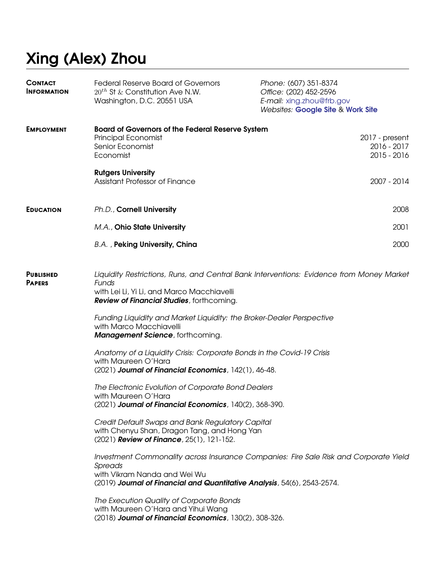# **Xing (Alex) Zhou**

| <b>CONTACT</b><br><b>INFORMATION</b> | <b>Federal Reserve Board of Governors</b><br>$20^{th}$ St & Constitution Ave N.W.<br>Washington, D.C. 20551 USA                                                                                                                                                                                                                                                                                                                                                                                                                                                                                                                                                                                                                                                                                                                                                                                                                                                                                                                                                                                                                                            | Phone: (607) 351-8374<br>Office: (202) 452-2596<br>E-mail: xing.zhou@frb.gov<br>Websites: Google Site & Work Site |
|--------------------------------------|------------------------------------------------------------------------------------------------------------------------------------------------------------------------------------------------------------------------------------------------------------------------------------------------------------------------------------------------------------------------------------------------------------------------------------------------------------------------------------------------------------------------------------------------------------------------------------------------------------------------------------------------------------------------------------------------------------------------------------------------------------------------------------------------------------------------------------------------------------------------------------------------------------------------------------------------------------------------------------------------------------------------------------------------------------------------------------------------------------------------------------------------------------|-------------------------------------------------------------------------------------------------------------------|
| <b>EMPLOYMENT</b>                    | <b>Board of Governors of the Federal Reserve System</b><br>Principal Economist<br>Senior Economist<br>Economist                                                                                                                                                                                                                                                                                                                                                                                                                                                                                                                                                                                                                                                                                                                                                                                                                                                                                                                                                                                                                                            | 2017 - present<br>2016 - 2017<br>2015 - 2016                                                                      |
|                                      | <b>Rutgers University</b><br>Assistant Professor of Finance                                                                                                                                                                                                                                                                                                                                                                                                                                                                                                                                                                                                                                                                                                                                                                                                                                                                                                                                                                                                                                                                                                | 2007 - 2014                                                                                                       |
| <b>EDUCATION</b>                     | Ph.D., Cornell University                                                                                                                                                                                                                                                                                                                                                                                                                                                                                                                                                                                                                                                                                                                                                                                                                                                                                                                                                                                                                                                                                                                                  | 2008                                                                                                              |
|                                      | M.A., Ohio State University                                                                                                                                                                                                                                                                                                                                                                                                                                                                                                                                                                                                                                                                                                                                                                                                                                                                                                                                                                                                                                                                                                                                | 2001                                                                                                              |
|                                      | B.A., Peking University, China                                                                                                                                                                                                                                                                                                                                                                                                                                                                                                                                                                                                                                                                                                                                                                                                                                                                                                                                                                                                                                                                                                                             | 2000                                                                                                              |
| <b>PUBLISHED</b><br><b>PAPERS</b>    | Liquidity Restrictions, Runs, and Central Bank Interventions: Evidence from Money Market<br>Funds<br>with Lei Li, Yi Li, and Marco Macchiavelli<br>Review of Financial Studies, forthcoming.<br>Funding Liquidity and Market Liquidity: the Broker-Dealer Perspective<br>with Marco Macchiavelli<br><b>Management Science</b> , forthcoming.<br>Anatomy of a Liquidity Crisis: Corporate Bonds in the Covid-19 Crisis<br>with Maureen O'Hara<br>(2021) Journal of Financial Economics, 142(1), 46-48.<br>The Electronic Evolution of Corporate Bond Dealers<br>with Maureen O'Hara<br>(2021) Journal of Financial Economics, 140(2), 368-390.<br>Credit Default Swaps and Bank Regulatory Capital<br>with Chenyu Shan, Dragon Tang, and Hong Yan<br>(2021) Review of Finance, 25(1), 121-152.<br>Investment Commonality across Insurance Companies: Fire Sale Risk and Corporate Yield<br>Spreads<br>with Vikram Nanda and Wei Wu<br>(2019) Journal of Financial and Quantitative Analysis, 54(6), 2543-2574.<br>The Execution Quality of Corporate Bonds<br>with Maureen O'Hara and Yihui Wang<br>(2018) Journal of Financial Economics, 130(2), 308-326. |                                                                                                                   |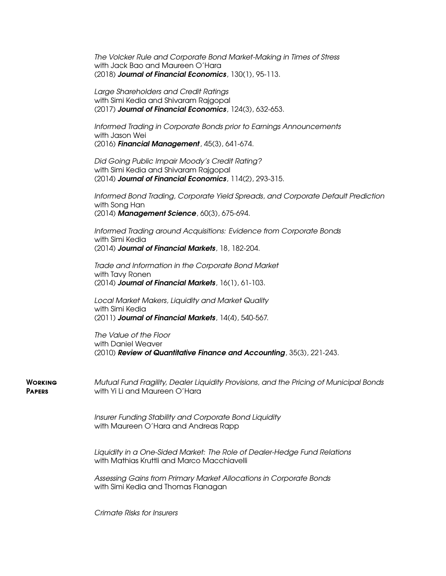*The Volcker Rule and Corporate Bond Market-Making in Times of Stress* with Jack Bao and Maureen O'Hara (2018) *Journal of Financial Economics*, 130(1), 95-113.

*Large Shareholders and Credit Ratings* with Simi Kedia and Shivaram Rajgopal (2017) *Journal of Financial Economics*, 124(3), 632-653.

*Informed Trading in Corporate Bonds prior to Earnings Announcements* with Jason Wei (2016) *Financial Management*, 45(3), 641-674.

*Did Going Public Impair Moody's Credit Rating?* with Simi Kedia and Shivaram Rajgopal (2014) *Journal of Financial Economics*, 114(2), 293-315.

*Informed Bond Trading, Corporate Yield Spreads, and Corporate Default Prediction* with Song Han (2014) *Management Science*, 60(3), 675-694.

*Informed Trading around Acquisitions: Evidence from Corporate Bonds* with Simi Kedia (2014) *Journal of Financial Markets*, 18, 182-204.

*Trade and Information in the Corporate Bond Market* with Tavy Ronen (2014) *Journal of Financial Markets*, 16(1), 61-103.

*Local Market Makers, Liquidity and Market Quality* with Simi Kedia (2011) *Journal of Financial Markets*, 14(4), 540-567.

*The Value of the Floor* with Daniel Weaver (2010) *Review of Quantitative Finance and Accounting*, 35(3), 221-243.

**Working Papers** *Mutual Fund Fragility, Dealer Liquidity Provisions, and the Pricing of Municipal Bonds* with Yi Li and Maureen O'Hara

> *Insurer Funding Stability and Corporate Bond Liquidity* with Maureen O'Hara and Andreas Rapp

*Liquidity in a One-Sided Market: The Role of Dealer-Hedge Fund Relations* with Mathias Kruttli and Marco Macchiavelli

*Assessing Gains from Primary Market Allocations in Corporate Bonds* with Simi Kedia and Thomas Flanagan

*Crimate Risks for Insurers*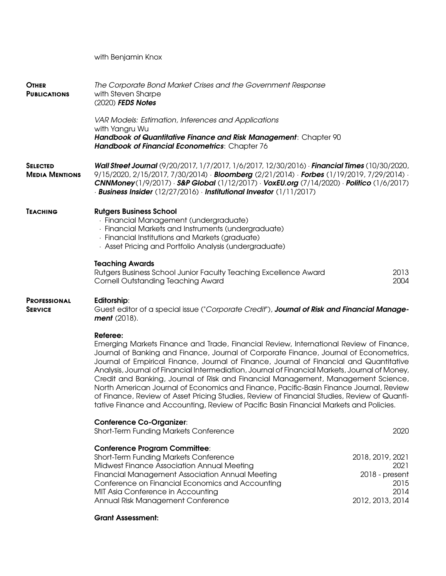with Benjamin Knox

| <b>OTHER</b><br><b>PUBLICATIONS</b>                                                                                                                                        | The Corporate Bond Market Crises and the Government Response<br>with Steven Sharpe<br>(2020) FEDS Notes                                                                                                                                                                                                                                                                                                                                                                                                                                                                                                                                                                                                                                                           |                                                                                |  |
|----------------------------------------------------------------------------------------------------------------------------------------------------------------------------|-------------------------------------------------------------------------------------------------------------------------------------------------------------------------------------------------------------------------------------------------------------------------------------------------------------------------------------------------------------------------------------------------------------------------------------------------------------------------------------------------------------------------------------------------------------------------------------------------------------------------------------------------------------------------------------------------------------------------------------------------------------------|--------------------------------------------------------------------------------|--|
|                                                                                                                                                                            | VAR Models: Estimation, Inferences and Applications<br>with Yangru Wu<br>Handbook of Quantitative Finance and Risk Management: Chapter 90<br>Handbook of Financial Econometrics: Chapter 76                                                                                                                                                                                                                                                                                                                                                                                                                                                                                                                                                                       |                                                                                |  |
| <b>SELECTED</b><br><b>MEDIA MENTIONS</b>                                                                                                                                   | Wall Street Journal (9/20/2017, 1/7/2017, 1/6/2017, 12/30/2016) Financial Times (10/30/2020,<br>$9/15/2020$ , 2/15/2017, 7/30/2014) · <b>Bloomberg</b> (2/21/2014) · <b>Forbes</b> (1/19/2019, 7/29/2014) ·<br>CNNMoney(1/9/2017) · S&P Global (1/12/2017) · VoxEU.org (7/14/2020) · Politico (1/6/2017)<br>· Business Insider (12/27/2016) Institutional Investor (1/11/2017)                                                                                                                                                                                                                                                                                                                                                                                    |                                                                                |  |
| <b>TEACHING</b>                                                                                                                                                            | <b>Rutgers Business School</b><br>· Financial Management (undergraduate)<br>· Financial Markets and Instruments (undergraduate)<br>· Financial Institutions and Markets (graduate)<br>· Asset Pricing and Portfolio Analysis (undergraduate)                                                                                                                                                                                                                                                                                                                                                                                                                                                                                                                      |                                                                                |  |
|                                                                                                                                                                            | <b>Teaching Awards</b><br>Rutgers Business School Junior Faculty Teaching Excellence Award<br><b>Cornell Outstanding Teaching Award</b>                                                                                                                                                                                                                                                                                                                                                                                                                                                                                                                                                                                                                           | 2013<br>2004                                                                   |  |
| <b>PROFESSIONAL</b><br>Editorship:<br>Guest editor of a special issue ("Corporate Credit"), Journal of Risk and Financial Manage-<br><b>SERVICE</b><br><b>ment</b> (2018). |                                                                                                                                                                                                                                                                                                                                                                                                                                                                                                                                                                                                                                                                                                                                                                   |                                                                                |  |
|                                                                                                                                                                            | Referee:<br>Emerging Markets Finance and Trade, Financial Review, International Review of Finance,<br>Journal of Banking and Finance, Journal of Corporate Finance, Journal of Econometrics,<br>Journal of Empirical Finance, Journal of Finance, Journal of Financial and Quantitative<br>Analysis, Journal of Financial Intermediation, Journal of Financial Markets, Journal of Money,<br>Credit and Banking, Journal of Risk and Financial Management, Management Science,<br>North American Journal of Economics and Finance, Pacific-Basin Finance Journal, Review<br>of Finance, Review of Asset Pricing Studies, Review of Financial Studies, Review of Quanti-<br>tative Finance and Accounting, Review of Pacific Basin Financial Markets and Policies. |                                                                                |  |
|                                                                                                                                                                            | <b>Conference Co-Organizer:</b><br>Short-Term Funding Markets Conference                                                                                                                                                                                                                                                                                                                                                                                                                                                                                                                                                                                                                                                                                          | 2020                                                                           |  |
|                                                                                                                                                                            | <b>Conference Program Committee:</b><br><b>Short-Term Funding Markets Conference</b><br>Midwest Finance Association Annual Meeting<br><b>Financial Management Association Annual Meeting</b><br>Conference on Financial Economics and Accounting<br>MIT Asia Conference in Accounting<br>Annual Risk Management Conference<br><b>Grant Assessment:</b>                                                                                                                                                                                                                                                                                                                                                                                                            | 2018, 2019, 2021<br>2021<br>2018 - present<br>2015<br>2014<br>2012, 2013, 2014 |  |
|                                                                                                                                                                            |                                                                                                                                                                                                                                                                                                                                                                                                                                                                                                                                                                                                                                                                                                                                                                   |                                                                                |  |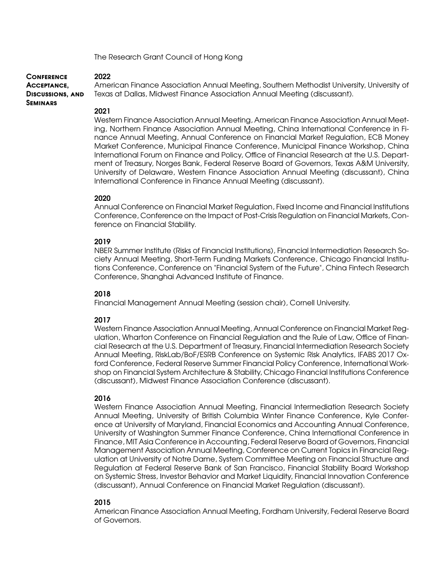The Research Grant Council of Hong Kong

#### **Conference 2022**

**Acceptance, Discussions, and Seminars**

American Finance Association Annual Meeting, Southern Methodist University, University of Texas at Dallas, Midwest Finance Association Annual Meeting (discussant).

#### **2021**

Western Finance Association Annual Meeting, American Finance Association Annual Meeting, Northern Finance Association Annual Meeting, China International Conference in Finance Annual Meeting, Annual Conference on Financial Market Regulation, ECB Money Market Conference, Municipal Finance Conference, Municipal Finance Workshop, China International Forum on Finance and Policy, Office of Financial Research at the U.S. Department of Treasury, Norges Bank, Federal Reserve Board of Governors, Texas A&M University, University of Delaware, Western Finance Association Annual Meeting (discussant), China International Conference in Finance Annual Meeting (discussant).

### **2020**

Annual Conference on Financial Market Regulation, Fixed Income and Financial Institutions Conference, Conference on the Impact of Post-Crisis Regulation on Financial Markets, Conference on Financial Stability.

## **2019**

NBER Summer Institute (Risks of Financial Institutions), Financial Intermediation Research Society Annual Meeting, Short-Term Funding Markets Conference, Chicago Financial Institutions Conference, Conference on "Financial System of the Future", China Fintech Research Conference, Shanghai Advanced Institute of Finance.

# **2018**

Financial Management Annual Meeting (session chair), Cornell University.

### **2017**

Western Finance Association Annual Meeting, Annual Conference on Financial Market Regulation, Wharton Conference on Financial Regulation and the Rule of Law, Office of Financial Research at the U.S. Department of Treasury, Financial Intermediation Research Society Annual Meeting, RiskLab/BoF/ESRB Conference on Systemic Risk Analytics, IFABS 2017 Oxford Conference, Federal Reserve Summer Financial Policy Conference, International Workshop on Financial System Architecture & Stability, Chicago Financial Institutions Conference (discussant), Midwest Finance Association Conference (discussant).

### **2016**

Western Finance Association Annual Meeting, Financial Intermediation Research Society Annual Meeting, University of British Columbia Winter Finance Conference, Kyle Conference at University of Maryland, Financial Economics and Accounting Annual Conference, University of Washington Summer Finance Conference, China International Conference in Finance, MIT Asia Conference in Accounting, Federal Reserve Board of Governors, Financial Management Association Annual Meeting, Conference on Current Topics in Financial Regulation at University of Notre Dame, System Committee Meeting on Financial Structure and Regulation at Federal Reserve Bank of San Francisco, Financial Stability Board Workshop on Systemic Stress, Investor Behavior and Market Liquidity, Financial Innovation Conference (discussant), Annual Conference on Financial Market Regulation (discussant).

# **2015**

American Finance Association Annual Meeting, Fordham University, Federal Reserve Board of Governors.